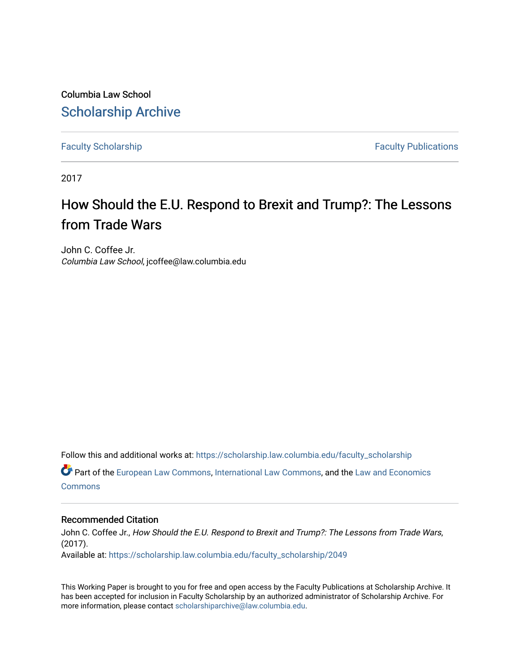Columbia Law School [Scholarship Archive](https://scholarship.law.columbia.edu/) 

[Faculty Scholarship](https://scholarship.law.columbia.edu/faculty_scholarship) **Faculty Scholarship Faculty Publications** 

2017

# How Should the E.U. Respond to Brexit and Trump?: The Lessons from Trade Wars

John C. Coffee Jr. Columbia Law School, jcoffee@law.columbia.edu

Follow this and additional works at: [https://scholarship.law.columbia.edu/faculty\\_scholarship](https://scholarship.law.columbia.edu/faculty_scholarship?utm_source=scholarship.law.columbia.edu%2Ffaculty_scholarship%2F2049&utm_medium=PDF&utm_campaign=PDFCoverPages)

Part of the [European Law Commons,](http://network.bepress.com/hgg/discipline/1084?utm_source=scholarship.law.columbia.edu%2Ffaculty_scholarship%2F2049&utm_medium=PDF&utm_campaign=PDFCoverPages) [International Law Commons](http://network.bepress.com/hgg/discipline/609?utm_source=scholarship.law.columbia.edu%2Ffaculty_scholarship%2F2049&utm_medium=PDF&utm_campaign=PDFCoverPages), and the [Law and Economics](http://network.bepress.com/hgg/discipline/612?utm_source=scholarship.law.columbia.edu%2Ffaculty_scholarship%2F2049&utm_medium=PDF&utm_campaign=PDFCoverPages)  **[Commons](http://network.bepress.com/hgg/discipline/612?utm_source=scholarship.law.columbia.edu%2Ffaculty_scholarship%2F2049&utm_medium=PDF&utm_campaign=PDFCoverPages)** 

## Recommended Citation

John C. Coffee Jr., How Should the E.U. Respond to Brexit and Trump?: The Lessons from Trade Wars, (2017). Available at: [https://scholarship.law.columbia.edu/faculty\\_scholarship/2049](https://scholarship.law.columbia.edu/faculty_scholarship/2049?utm_source=scholarship.law.columbia.edu%2Ffaculty_scholarship%2F2049&utm_medium=PDF&utm_campaign=PDFCoverPages)

This Working Paper is brought to you for free and open access by the Faculty Publications at Scholarship Archive. It has been accepted for inclusion in Faculty Scholarship by an authorized administrator of Scholarship Archive. For more information, please contact [scholarshiparchive@law.columbia.edu.](mailto:scholarshiparchive@law.columbia.edu)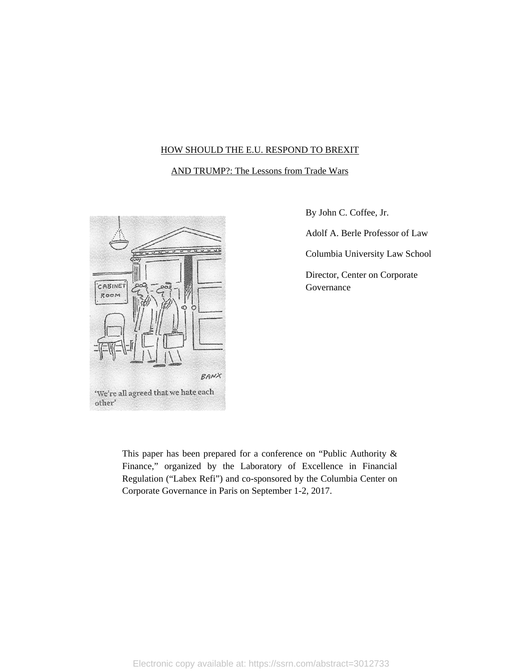## HOW SHOULD THE E.U. RESPOND TO BREXIT

## AND TRUMP?: The Lessons from Trade Wars



By John C. Coffee, Jr.

Adolf A. Berle Professor of Law

Columbia University Law School

Director, Center on Corporate Governance

This paper has been prepared for a conference on "Public Authority & Finance," organized by the Laboratory of Excellence in Financial Regulation ("Labex Refi") and co-sponsored by the Columbia Center on Corporate Governance in Paris on September 1-2, 2017.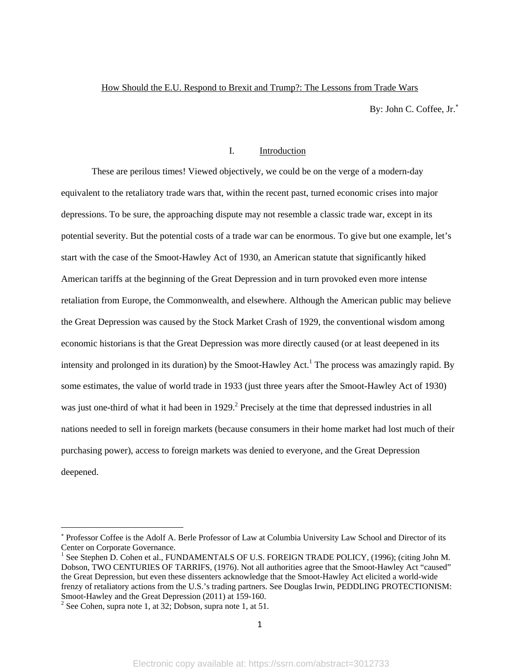By: John C. Coffee, Jr.

#### I. Introduction

 These are perilous times! Viewed objectively, we could be on the verge of a modern-day equivalent to the retaliatory trade wars that, within the recent past, turned economic crises into major depressions. To be sure, the approaching dispute may not resemble a classic trade war, except in its potential severity. But the potential costs of a trade war can be enormous. To give but one example, let's start with the case of the Smoot-Hawley Act of 1930, an American statute that significantly hiked American tariffs at the beginning of the Great Depression and in turn provoked even more intense retaliation from Europe, the Commonwealth, and elsewhere. Although the American public may believe the Great Depression was caused by the Stock Market Crash of 1929, the conventional wisdom among economic historians is that the Great Depression was more directly caused (or at least deepened in its intensity and prolonged in its duration) by the Smoot-Hawley Act.<sup>1</sup> The process was amazingly rapid. By some estimates, the value of world trade in 1933 (just three years after the Smoot-Hawley Act of 1930) was just one-third of what it had been in 1929.<sup>2</sup> Precisely at the time that depressed industries in all nations needed to sell in foreign markets (because consumers in their home market had lost much of their purchasing power), access to foreign markets was denied to everyone, and the Great Depression deepened.

 Professor Coffee is the Adolf A. Berle Professor of Law at Columbia University Law School and Director of its Center on Corporate Governance.

<sup>&</sup>lt;sup>1</sup> See Stephen D. Cohen et al., FUNDAMENTALS OF U.S. FOREIGN TRADE POLICY, (1996); (citing John M. Dobson, TWO CENTURIES OF TARRIFS, (1976). Not all authorities agree that the Smoot-Hawley Act "caused" the Great Depression, but even these dissenters acknowledge that the Smoot-Hawley Act elicited a world-wide frenzy of retaliatory actions from the U.S.'s trading partners. See Douglas Irwin, PEDDLING PROTECTIONISM: Smoot-Hawley and the Great Depression (2011) at 159-160.

<sup>&</sup>lt;sup>2</sup> See Cohen, supra note 1, at 32; Dobson, supra note 1, at 51.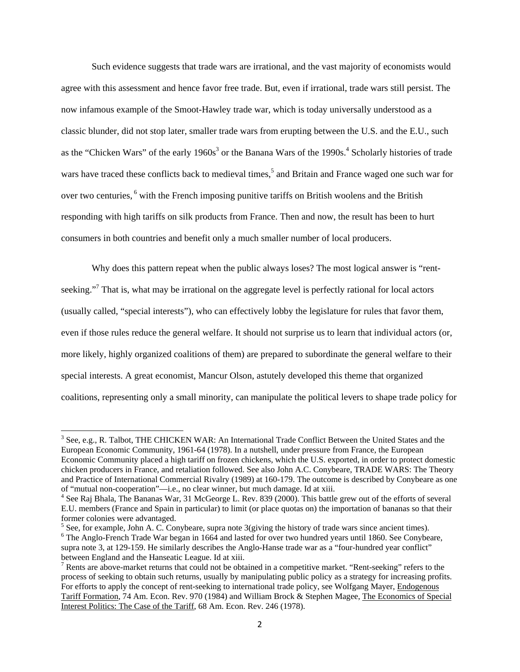Such evidence suggests that trade wars are irrational, and the vast majority of economists would agree with this assessment and hence favor free trade. But, even if irrational, trade wars still persist. The now infamous example of the Smoot-Hawley trade war, which is today universally understood as a classic blunder, did not stop later, smaller trade wars from erupting between the U.S. and the E.U., such as the "Chicken Wars" of the early  $1960s<sup>3</sup>$  or the Banana Wars of the  $1990s<sup>4</sup>$  Scholarly histories of trade wars have traced these conflicts back to medieval times,<sup>5</sup> and Britain and France waged one such war for over two centuries,<sup>6</sup> with the French imposing punitive tariffs on British woolens and the British responding with high tariffs on silk products from France. Then and now, the result has been to hurt consumers in both countries and benefit only a much smaller number of local producers.

Why does this pattern repeat when the public always loses? The most logical answer is "rentseeking."<sup>7</sup> That is, what may be irrational on the aggregate level is perfectly rational for local actors (usually called, "special interests"), who can effectively lobby the legislature for rules that favor them, even if those rules reduce the general welfare. It should not surprise us to learn that individual actors (or, more likely, highly organized coalitions of them) are prepared to subordinate the general welfare to their special interests. A great economist, Mancur Olson, astutely developed this theme that organized coalitions, representing only a small minority, can manipulate the political levers to shape trade policy for

 $3$  See, e.g., R. Talbot, THE CHICKEN WAR: An International Trade Conflict Between the United States and the European Economic Community, 1961-64 (1978). In a nutshell, under pressure from France, the European Economic Community placed a high tariff on frozen chickens, which the U.S. exported, in order to protect domestic chicken producers in France, and retaliation followed. See also John A.C. Conybeare, TRADE WARS: The Theory and Practice of International Commercial Rivalry (1989) at 160-179. The outcome is described by Conybeare as one of "mutual non-cooperation"—i.e., no clear winner, but much damage. Id at xiii.

<sup>&</sup>lt;sup>4</sup> See Raj Bhala, The Bananas War, 31 McGeorge L. Rev. 839 (2000). This battle grew out of the efforts of several E.U. members (France and Spain in particular) to limit (or place quotas on) the importation of bananas so that their former colonies were advantaged.

<sup>&</sup>lt;sup>5</sup> See, for example, John A. C. Conybeare, supra note 3(giving the history of trade wars since ancient times). <sup>6</sup> The Anglo-French Trade War began in 1664 and lasted for over two hundred years until 1860. See Conybeare, supra note 3, at 129-159. He similarly describes the Anglo-Hanse trade war as a "four-hundred year conflict" between England and the Hanseatic League. Id at xiii.

 $<sup>7</sup>$  Rents are above-market returns that could not be obtained in a competitive market. "Rent-seeking" refers to the</sup> process of seeking to obtain such returns, usually by manipulating public policy as a strategy for increasing profits. For efforts to apply the concept of rent-seeking to international trade policy, see Wolfgang Mayer, Endogenous Tariff Formation, 74 Am. Econ. Rev. 970 (1984) and William Brock & Stephen Magee, The Economics of Special Interest Politics: The Case of the Tariff, 68 Am. Econ. Rev. 246 (1978).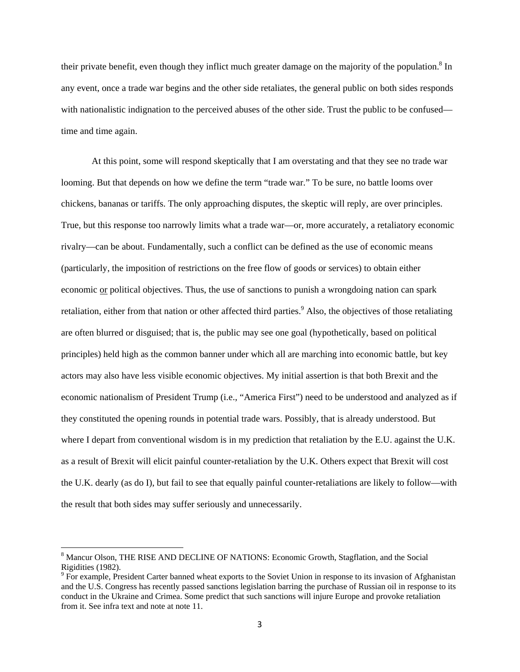their private benefit, even though they inflict much greater damage on the majority of the population.<sup>8</sup> In any event, once a trade war begins and the other side retaliates, the general public on both sides responds with nationalistic indignation to the perceived abuses of the other side. Trust the public to be confused time and time again.

 At this point, some will respond skeptically that I am overstating and that they see no trade war looming. But that depends on how we define the term "trade war." To be sure, no battle looms over chickens, bananas or tariffs. The only approaching disputes, the skeptic will reply, are over principles. True, but this response too narrowly limits what a trade war—or, more accurately, a retaliatory economic rivalry—can be about. Fundamentally, such a conflict can be defined as the use of economic means (particularly, the imposition of restrictions on the free flow of goods or services) to obtain either economic or political objectives. Thus, the use of sanctions to punish a wrongdoing nation can spark retaliation, either from that nation or other affected third parties.<sup>9</sup> Also, the objectives of those retaliating are often blurred or disguised; that is, the public may see one goal (hypothetically, based on political principles) held high as the common banner under which all are marching into economic battle, but key actors may also have less visible economic objectives. My initial assertion is that both Brexit and the economic nationalism of President Trump (i.e., "America First") need to be understood and analyzed as if they constituted the opening rounds in potential trade wars. Possibly, that is already understood. But where I depart from conventional wisdom is in my prediction that retaliation by the E.U. against the U.K. as a result of Brexit will elicit painful counter-retaliation by the U.K. Others expect that Brexit will cost the U.K. dearly (as do I), but fail to see that equally painful counter-retaliations are likely to follow—with the result that both sides may suffer seriously and unnecessarily.

<sup>&</sup>lt;sup>8</sup> Mancur Olson, THE RISE AND DECLINE OF NATIONS: Economic Growth, Stagflation, and the Social Rigidities (1982).

<sup>&</sup>lt;sup>9</sup> For example, President Carter banned wheat exports to the Soviet Union in response to its invasion of Afghanistan and the U.S. Congress has recently passed sanctions legislation barring the purchase of Russian oil in response to its conduct in the Ukraine and Crimea. Some predict that such sanctions will injure Europe and provoke retaliation from it. See infra text and note at note 11.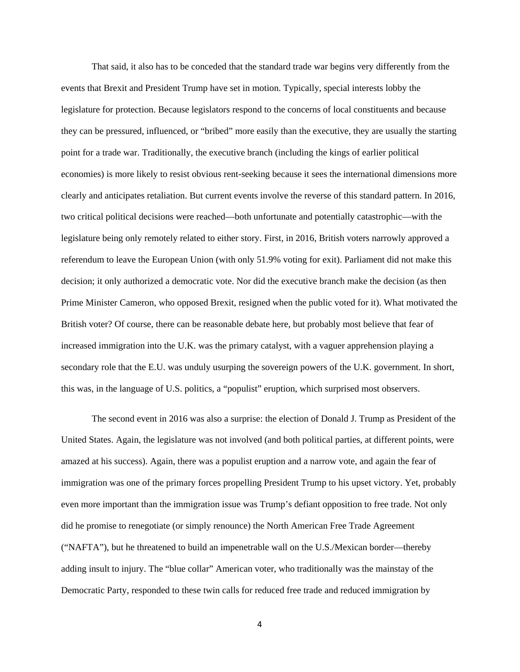That said, it also has to be conceded that the standard trade war begins very differently from the events that Brexit and President Trump have set in motion. Typically, special interests lobby the legislature for protection. Because legislators respond to the concerns of local constituents and because they can be pressured, influenced, or "bribed" more easily than the executive, they are usually the starting point for a trade war. Traditionally, the executive branch (including the kings of earlier political economies) is more likely to resist obvious rent-seeking because it sees the international dimensions more clearly and anticipates retaliation. But current events involve the reverse of this standard pattern. In 2016, two critical political decisions were reached—both unfortunate and potentially catastrophic—with the legislature being only remotely related to either story. First, in 2016, British voters narrowly approved a referendum to leave the European Union (with only 51.9% voting for exit). Parliament did not make this decision; it only authorized a democratic vote. Nor did the executive branch make the decision (as then Prime Minister Cameron, who opposed Brexit, resigned when the public voted for it). What motivated the British voter? Of course, there can be reasonable debate here, but probably most believe that fear of increased immigration into the U.K. was the primary catalyst, with a vaguer apprehension playing a secondary role that the E.U. was unduly usurping the sovereign powers of the U.K. government. In short, this was, in the language of U.S. politics, a "populist" eruption, which surprised most observers.

 The second event in 2016 was also a surprise: the election of Donald J. Trump as President of the United States. Again, the legislature was not involved (and both political parties, at different points, were amazed at his success). Again, there was a populist eruption and a narrow vote, and again the fear of immigration was one of the primary forces propelling President Trump to his upset victory. Yet, probably even more important than the immigration issue was Trump's defiant opposition to free trade. Not only did he promise to renegotiate (or simply renounce) the North American Free Trade Agreement ("NAFTA"), but he threatened to build an impenetrable wall on the U.S./Mexican border—thereby adding insult to injury. The "blue collar" American voter, who traditionally was the mainstay of the Democratic Party, responded to these twin calls for reduced free trade and reduced immigration by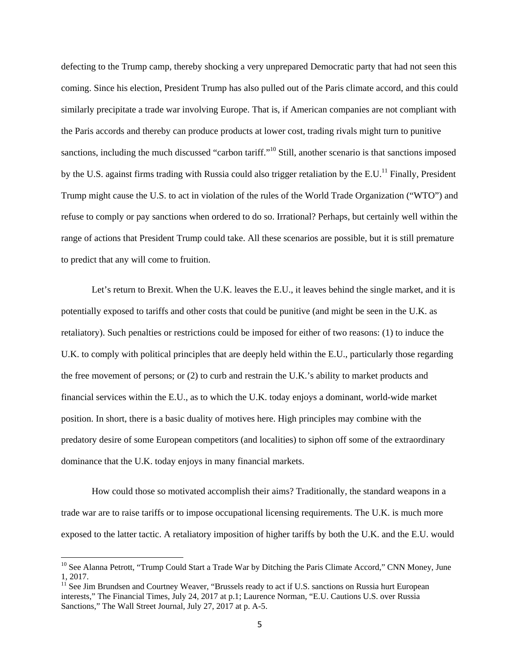defecting to the Trump camp, thereby shocking a very unprepared Democratic party that had not seen this coming. Since his election, President Trump has also pulled out of the Paris climate accord, and this could similarly precipitate a trade war involving Europe. That is, if American companies are not compliant with the Paris accords and thereby can produce products at lower cost, trading rivals might turn to punitive sanctions, including the much discussed "carbon tariff."<sup>10</sup> Still, another scenario is that sanctions imposed by the U.S. against firms trading with Russia could also trigger retaliation by the E.U.<sup>11</sup> Finally, President Trump might cause the U.S. to act in violation of the rules of the World Trade Organization ("WTO") and refuse to comply or pay sanctions when ordered to do so. Irrational? Perhaps, but certainly well within the range of actions that President Trump could take. All these scenarios are possible, but it is still premature to predict that any will come to fruition.

 Let's return to Brexit. When the U.K. leaves the E.U., it leaves behind the single market, and it is potentially exposed to tariffs and other costs that could be punitive (and might be seen in the U.K. as retaliatory). Such penalties or restrictions could be imposed for either of two reasons: (1) to induce the U.K. to comply with political principles that are deeply held within the E.U., particularly those regarding the free movement of persons; or (2) to curb and restrain the U.K.'s ability to market products and financial services within the E.U., as to which the U.K. today enjoys a dominant, world-wide market position. In short, there is a basic duality of motives here. High principles may combine with the predatory desire of some European competitors (and localities) to siphon off some of the extraordinary dominance that the U.K. today enjoys in many financial markets.

 How could those so motivated accomplish their aims? Traditionally, the standard weapons in a trade war are to raise tariffs or to impose occupational licensing requirements. The U.K. is much more exposed to the latter tactic. A retaliatory imposition of higher tariffs by both the U.K. and the E.U. would

 $10$  See Alanna Petrott, "Trump Could Start a Trade War by Ditching the Paris Climate Accord," CNN Money, June 1, 2017.

 $11$  See Jim Brundsen and Courtney Weaver, "Brussels ready to act if U.S. sanctions on Russia hurt European interests," The Financial Times, July 24, 2017 at p.1; Laurence Norman, "E.U. Cautions U.S. over Russia Sanctions," The Wall Street Journal, July 27, 2017 at p. A-5.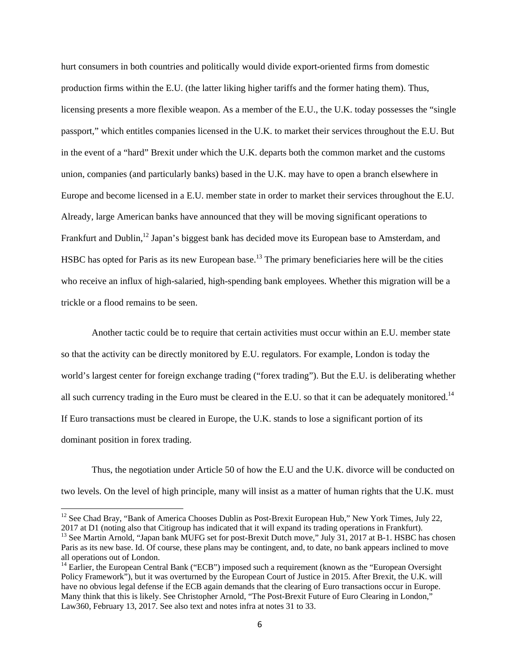hurt consumers in both countries and politically would divide export-oriented firms from domestic production firms within the E.U. (the latter liking higher tariffs and the former hating them). Thus, licensing presents a more flexible weapon. As a member of the E.U., the U.K. today possesses the "single passport," which entitles companies licensed in the U.K. to market their services throughout the E.U. But in the event of a "hard" Brexit under which the U.K. departs both the common market and the customs union, companies (and particularly banks) based in the U.K. may have to open a branch elsewhere in Europe and become licensed in a E.U. member state in order to market their services throughout the E.U. Already, large American banks have announced that they will be moving significant operations to Frankfurt and Dublin,<sup>12</sup> Japan's biggest bank has decided move its European base to Amsterdam, and HSBC has opted for Paris as its new European base.<sup>13</sup> The primary beneficiaries here will be the cities who receive an influx of high-salaried, high-spending bank employees. Whether this migration will be a trickle or a flood remains to be seen.

 Another tactic could be to require that certain activities must occur within an E.U. member state so that the activity can be directly monitored by E.U. regulators. For example, London is today the world's largest center for foreign exchange trading ("forex trading"). But the E.U. is deliberating whether all such currency trading in the Euro must be cleared in the E.U. so that it can be adequately monitored.<sup>14</sup> If Euro transactions must be cleared in Europe, the U.K. stands to lose a significant portion of its dominant position in forex trading.

 Thus, the negotiation under Article 50 of how the E.U and the U.K. divorce will be conducted on two levels. On the level of high principle, many will insist as a matter of human rights that the U.K. must

<sup>&</sup>lt;sup>12</sup> See Chad Bray, "Bank of America Chooses Dublin as Post-Brexit European Hub," New York Times, July 22,  $2017$  at D1 (noting also that Citigroup has indicated that it will expand its trading operations in Frankfurt).

<sup>&</sup>lt;sup>13</sup> See Martin Arnold, "Japan bank MUFG set for post-Brexit Dutch move," July 31, 2017 at B-1. HSBC has chosen Paris as its new base. Id. Of course, these plans may be contingent, and, to date, no bank appears inclined to move all operations out of London.

<sup>&</sup>lt;sup>14</sup> Earlier, the European Central Bank ("ECB") imposed such a requirement (known as the "European Oversight Policy Framework"), but it was overturned by the European Court of Justice in 2015. After Brexit, the U.K. will have no obvious legal defense if the ECB again demands that the clearing of Euro transactions occur in Europe. Many think that this is likely. See Christopher Arnold, "The Post-Brexit Future of Euro Clearing in London," Law360, February 13, 2017. See also text and notes infra at notes 31 to 33.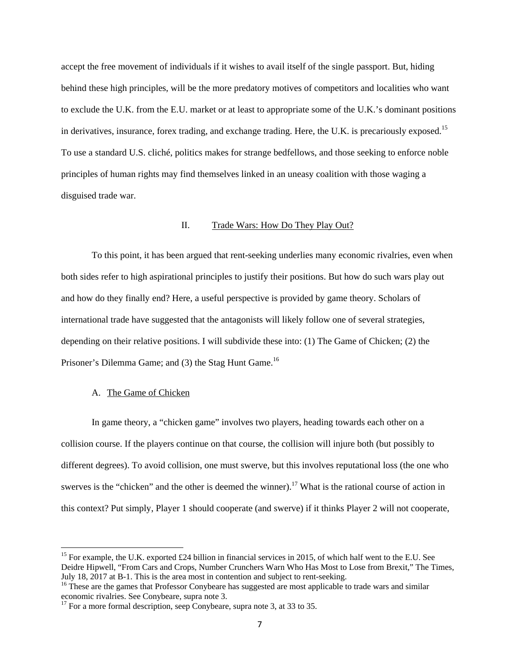accept the free movement of individuals if it wishes to avail itself of the single passport. But, hiding behind these high principles, will be the more predatory motives of competitors and localities who want to exclude the U.K. from the E.U. market or at least to appropriate some of the U.K.'s dominant positions in derivatives, insurance, forex trading, and exchange trading. Here, the U.K. is precariously exposed.<sup>15</sup> To use a standard U.S. cliché, politics makes for strange bedfellows, and those seeking to enforce noble principles of human rights may find themselves linked in an uneasy coalition with those waging a disguised trade war.

## II. Trade Wars: How Do They Play Out?

To this point, it has been argued that rent-seeking underlies many economic rivalries, even when both sides refer to high aspirational principles to justify their positions. But how do such wars play out and how do they finally end? Here, a useful perspective is provided by game theory. Scholars of international trade have suggested that the antagonists will likely follow one of several strategies, depending on their relative positions. I will subdivide these into: (1) The Game of Chicken; (2) the Prisoner's Dilemma Game; and (3) the Stag Hunt Game.<sup>16</sup>

### A. The Game of Chicken

In game theory, a "chicken game" involves two players, heading towards each other on a collision course. If the players continue on that course, the collision will injure both (but possibly to different degrees). To avoid collision, one must swerve, but this involves reputational loss (the one who swerves is the "chicken" and the other is deemed the winner).<sup>17</sup> What is the rational course of action in this context? Put simply, Player 1 should cooperate (and swerve) if it thinks Player 2 will not cooperate,

<sup>&</sup>lt;sup>15</sup> For example, the U.K. exported £24 billion in financial services in 2015, of which half went to the E.U. See Deidre Hipwell, "From Cars and Crops, Number Crunchers Warn Who Has Most to Lose from Brexit," The Times, July 18, 2017 at B-1. This is the area most in contention and subject to rent-seeking.<br><sup>16</sup> These are the games that Professor Conybeare has suggested are most applicable to trade wars and similar

economic rivalries. See Conybeare, supra note 3.

 $17$  For a more formal description, seep Conybeare, supra note 3, at 33 to 35.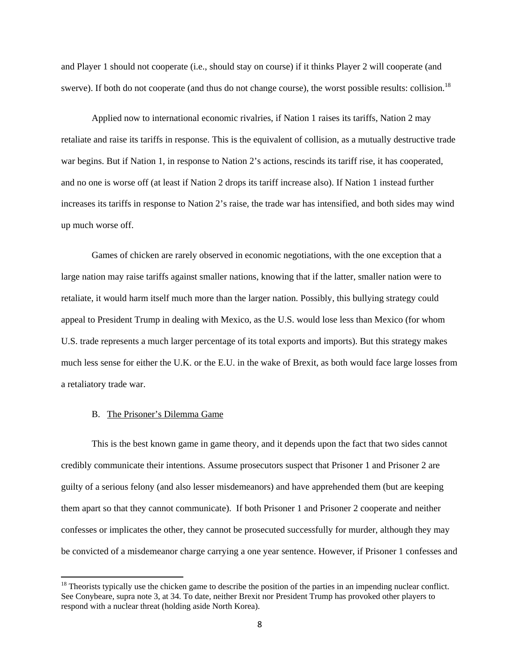and Player 1 should not cooperate (i.e., should stay on course) if it thinks Player 2 will cooperate (and swerve). If both do not cooperate (and thus do not change course), the worst possible results: collision.<sup>18</sup>

Applied now to international economic rivalries, if Nation 1 raises its tariffs, Nation 2 may retaliate and raise its tariffs in response. This is the equivalent of collision, as a mutually destructive trade war begins. But if Nation 1, in response to Nation 2's actions, rescinds its tariff rise, it has cooperated, and no one is worse off (at least if Nation 2 drops its tariff increase also). If Nation 1 instead further increases its tariffs in response to Nation 2's raise, the trade war has intensified, and both sides may wind up much worse off.

Games of chicken are rarely observed in economic negotiations, with the one exception that a large nation may raise tariffs against smaller nations, knowing that if the latter, smaller nation were to retaliate, it would harm itself much more than the larger nation. Possibly, this bullying strategy could appeal to President Trump in dealing with Mexico, as the U.S. would lose less than Mexico (for whom U.S. trade represents a much larger percentage of its total exports and imports). But this strategy makes much less sense for either the U.K. or the E.U. in the wake of Brexit, as both would face large losses from a retaliatory trade war.

#### B. The Prisoner's Dilemma Game

This is the best known game in game theory, and it depends upon the fact that two sides cannot credibly communicate their intentions. Assume prosecutors suspect that Prisoner 1 and Prisoner 2 are guilty of a serious felony (and also lesser misdemeanors) and have apprehended them (but are keeping them apart so that they cannot communicate). If both Prisoner 1 and Prisoner 2 cooperate and neither confesses or implicates the other, they cannot be prosecuted successfully for murder, although they may be convicted of a misdemeanor charge carrying a one year sentence. However, if Prisoner 1 confesses and

 $18$  Theorists typically use the chicken game to describe the position of the parties in an impending nuclear conflict. See Conybeare, supra note 3, at 34. To date, neither Brexit nor President Trump has provoked other players to respond with a nuclear threat (holding aside North Korea).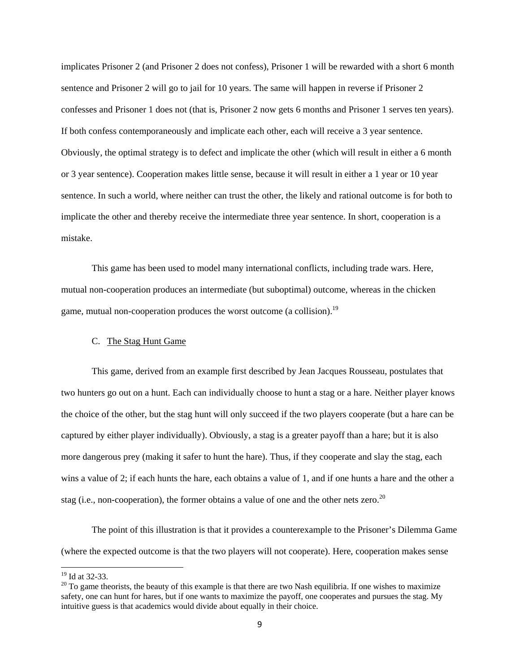implicates Prisoner 2 (and Prisoner 2 does not confess), Prisoner 1 will be rewarded with a short 6 month sentence and Prisoner 2 will go to jail for 10 years. The same will happen in reverse if Prisoner 2 confesses and Prisoner 1 does not (that is, Prisoner 2 now gets 6 months and Prisoner 1 serves ten years). If both confess contemporaneously and implicate each other, each will receive a 3 year sentence. Obviously, the optimal strategy is to defect and implicate the other (which will result in either a 6 month or 3 year sentence). Cooperation makes little sense, because it will result in either a 1 year or 10 year sentence. In such a world, where neither can trust the other, the likely and rational outcome is for both to implicate the other and thereby receive the intermediate three year sentence. In short, cooperation is a mistake.

This game has been used to model many international conflicts, including trade wars. Here, mutual non-cooperation produces an intermediate (but suboptimal) outcome, whereas in the chicken game, mutual non-cooperation produces the worst outcome (a collision).19

## C. The Stag Hunt Game

This game, derived from an example first described by Jean Jacques Rousseau, postulates that two hunters go out on a hunt. Each can individually choose to hunt a stag or a hare. Neither player knows the choice of the other, but the stag hunt will only succeed if the two players cooperate (but a hare can be captured by either player individually). Obviously, a stag is a greater payoff than a hare; but it is also more dangerous prey (making it safer to hunt the hare). Thus, if they cooperate and slay the stag, each wins a value of 2; if each hunts the hare, each obtains a value of 1, and if one hunts a hare and the other a stag (i.e., non-cooperation), the former obtains a value of one and the other nets zero.<sup>20</sup>

The point of this illustration is that it provides a counterexample to the Prisoner's Dilemma Game (where the expected outcome is that the two players will not cooperate). Here, cooperation makes sense

<sup>&</sup>lt;sup>19</sup> Id at 32-33.

 $20$  To game theorists, the beauty of this example is that there are two Nash equilibria. If one wishes to maximize safety, one can hunt for hares, but if one wants to maximize the payoff, one cooperates and pursues the stag. My intuitive guess is that academics would divide about equally in their choice.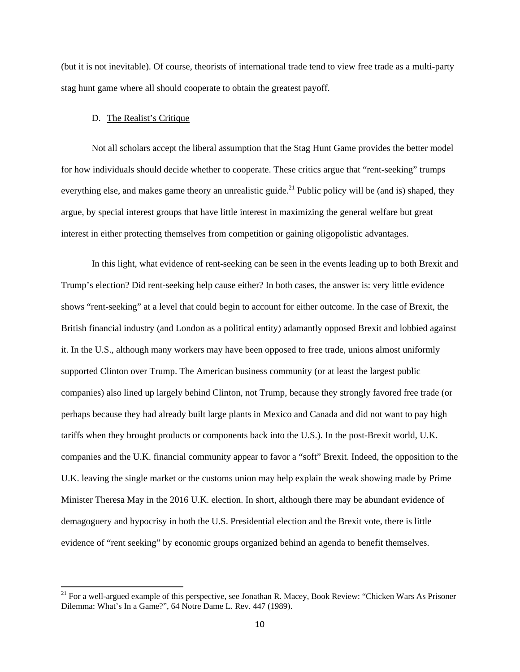(but it is not inevitable). Of course, theorists of international trade tend to view free trade as a multi-party stag hunt game where all should cooperate to obtain the greatest payoff.

#### D. The Realist's Critique

Not all scholars accept the liberal assumption that the Stag Hunt Game provides the better model for how individuals should decide whether to cooperate. These critics argue that "rent-seeking" trumps everything else, and makes game theory an unrealistic guide.<sup>21</sup> Public policy will be (and is) shaped, they argue, by special interest groups that have little interest in maximizing the general welfare but great interest in either protecting themselves from competition or gaining oligopolistic advantages.

In this light, what evidence of rent-seeking can be seen in the events leading up to both Brexit and Trump's election? Did rent-seeking help cause either? In both cases, the answer is: very little evidence shows "rent-seeking" at a level that could begin to account for either outcome. In the case of Brexit, the British financial industry (and London as a political entity) adamantly opposed Brexit and lobbied against it. In the U.S., although many workers may have been opposed to free trade, unions almost uniformly supported Clinton over Trump. The American business community (or at least the largest public companies) also lined up largely behind Clinton, not Trump, because they strongly favored free trade (or perhaps because they had already built large plants in Mexico and Canada and did not want to pay high tariffs when they brought products or components back into the U.S.). In the post-Brexit world, U.K. companies and the U.K. financial community appear to favor a "soft" Brexit. Indeed, the opposition to the U.K. leaving the single market or the customs union may help explain the weak showing made by Prime Minister Theresa May in the 2016 U.K. election. In short, although there may be abundant evidence of demagoguery and hypocrisy in both the U.S. Presidential election and the Brexit vote, there is little evidence of "rent seeking" by economic groups organized behind an agenda to benefit themselves.

<sup>&</sup>lt;sup>21</sup> For a well-argued example of this perspective, see Jonathan R. Macey, Book Review: "Chicken Wars As Prisoner Dilemma: What's In a Game?", 64 Notre Dame L. Rev. 447 (1989).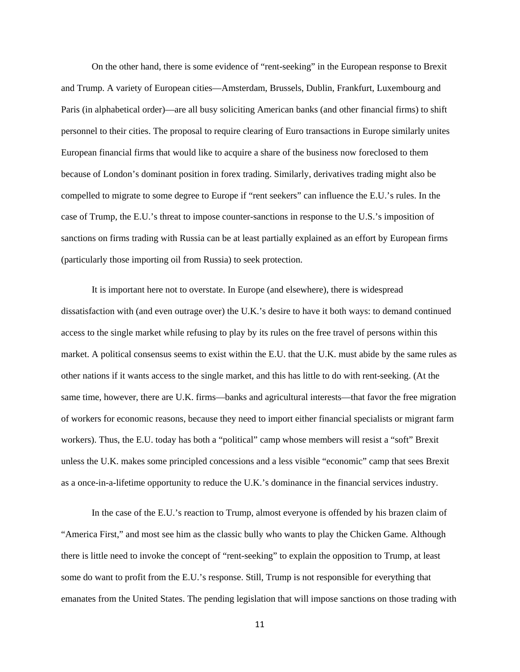On the other hand, there is some evidence of "rent-seeking" in the European response to Brexit and Trump. A variety of European cities—Amsterdam, Brussels, Dublin, Frankfurt, Luxembourg and Paris (in alphabetical order)—are all busy soliciting American banks (and other financial firms) to shift personnel to their cities. The proposal to require clearing of Euro transactions in Europe similarly unites European financial firms that would like to acquire a share of the business now foreclosed to them because of London's dominant position in forex trading. Similarly, derivatives trading might also be compelled to migrate to some degree to Europe if "rent seekers" can influence the E.U.'s rules. In the case of Trump, the E.U.'s threat to impose counter-sanctions in response to the U.S.'s imposition of sanctions on firms trading with Russia can be at least partially explained as an effort by European firms (particularly those importing oil from Russia) to seek protection.

It is important here not to overstate. In Europe (and elsewhere), there is widespread dissatisfaction with (and even outrage over) the U.K.'s desire to have it both ways: to demand continued access to the single market while refusing to play by its rules on the free travel of persons within this market. A political consensus seems to exist within the E.U. that the U.K. must abide by the same rules as other nations if it wants access to the single market, and this has little to do with rent-seeking. (At the same time, however, there are U.K. firms—banks and agricultural interests—that favor the free migration of workers for economic reasons, because they need to import either financial specialists or migrant farm workers). Thus, the E.U. today has both a "political" camp whose members will resist a "soft" Brexit unless the U.K. makes some principled concessions and a less visible "economic" camp that sees Brexit as a once-in-a-lifetime opportunity to reduce the U.K.'s dominance in the financial services industry.

In the case of the E.U.'s reaction to Trump, almost everyone is offended by his brazen claim of "America First," and most see him as the classic bully who wants to play the Chicken Game. Although there is little need to invoke the concept of "rent-seeking" to explain the opposition to Trump, at least some do want to profit from the E.U.'s response. Still, Trump is not responsible for everything that emanates from the United States. The pending legislation that will impose sanctions on those trading with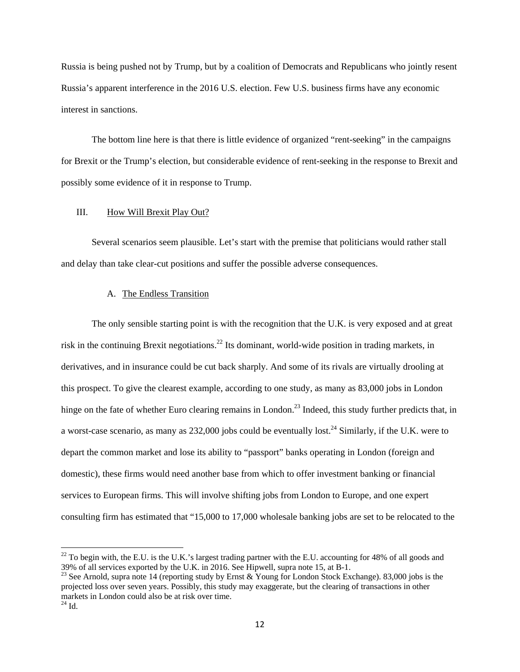Russia is being pushed not by Trump, but by a coalition of Democrats and Republicans who jointly resent Russia's apparent interference in the 2016 U.S. election. Few U.S. business firms have any economic interest in sanctions.

The bottom line here is that there is little evidence of organized "rent-seeking" in the campaigns for Brexit or the Trump's election, but considerable evidence of rent-seeking in the response to Brexit and possibly some evidence of it in response to Trump.

#### III. How Will Brexit Play Out?

Several scenarios seem plausible. Let's start with the premise that politicians would rather stall and delay than take clear-cut positions and suffer the possible adverse consequences.

## A. The Endless Transition

The only sensible starting point is with the recognition that the U.K. is very exposed and at great risk in the continuing Brexit negotiations.<sup>22</sup> Its dominant, world-wide position in trading markets, in derivatives, and in insurance could be cut back sharply. And some of its rivals are virtually drooling at this prospect. To give the clearest example, according to one study, as many as 83,000 jobs in London hinge on the fate of whether Euro clearing remains in London.<sup>23</sup> Indeed, this study further predicts that, in a worst-case scenario, as many as  $232,000$  jobs could be eventually lost.<sup>24</sup> Similarly, if the U.K. were to depart the common market and lose its ability to "passport" banks operating in London (foreign and domestic), these firms would need another base from which to offer investment banking or financial services to European firms. This will involve shifting jobs from London to Europe, and one expert consulting firm has estimated that "15,000 to 17,000 wholesale banking jobs are set to be relocated to the

 $^{22}$  To begin with, the E.U. is the U.K.'s largest trading partner with the E.U. accounting for 48% of all goods and

<sup>39%</sup> of all services exported by the U.K. in 2016. See Hipwell, supra note 15, at B-1.<br><sup>23</sup> See Arnold, supra note 14 (reporting study by Ernst & Young for London Stock Exchange). 83,000 jobs is the projected loss over seven years. Possibly, this study may exaggerate, but the clearing of transactions in other markets in London could also be at risk over time.<br><sup>24</sup> Id.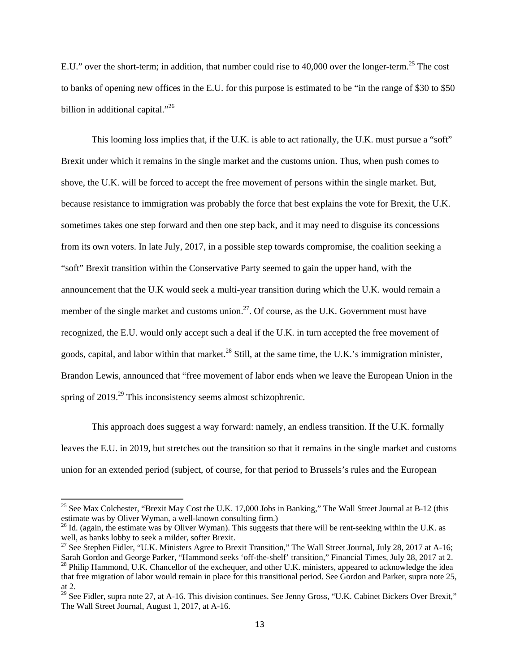E.U." over the short-term; in addition, that number could rise to 40,000 over the longer-term.<sup>25</sup> The cost to banks of opening new offices in the E.U. for this purpose is estimated to be "in the range of \$30 to \$50 billion in additional capital."<sup>26</sup>

This looming loss implies that, if the U.K. is able to act rationally, the U.K. must pursue a "soft" Brexit under which it remains in the single market and the customs union. Thus, when push comes to shove, the U.K. will be forced to accept the free movement of persons within the single market. But, because resistance to immigration was probably the force that best explains the vote for Brexit, the U.K. sometimes takes one step forward and then one step back, and it may need to disguise its concessions from its own voters. In late July, 2017, in a possible step towards compromise, the coalition seeking a "soft" Brexit transition within the Conservative Party seemed to gain the upper hand, with the announcement that the U.K would seek a multi-year transition during which the U.K. would remain a member of the single market and customs union.<sup>27</sup>. Of course, as the U.K. Government must have recognized, the E.U. would only accept such a deal if the U.K. in turn accepted the free movement of goods, capital, and labor within that market.<sup>28</sup> Still, at the same time, the U.K.'s immigration minister, Brandon Lewis, announced that "free movement of labor ends when we leave the European Union in the spring of  $2019<sup>29</sup>$  This inconsistency seems almost schizophrenic.

This approach does suggest a way forward: namely, an endless transition. If the U.K. formally leaves the E.U. in 2019, but stretches out the transition so that it remains in the single market and customs union for an extended period (subject, of course, for that period to Brussels's rules and the European

<sup>&</sup>lt;sup>25</sup> See Max Colchester, "Brexit May Cost the U.K. 17,000 Jobs in Banking," The Wall Street Journal at B-12 (this estimate was by Oliver Wyman, a well-known consulting firm.)

<sup>&</sup>lt;sup>26</sup> Id. (again, the estimate was by Oliver Wyman). This suggests that there will be rent-seeking within the U.K. as well, as banks lobby to seek a milder, softer Brexit.<br><sup>27</sup> See Stephen Fidler, "U.K. Ministers Agree to Brexit Transition," The Wall Street Journal, July 28, 2017 at A-16;

Sarah Gordon and George Parker, "Hammond seeks 'off-the-shelf' transition," Financial Times, July 28, 2017 at 2.  $^{28}$  Philip Hammond, U.K. Chancellor of the exchequer, and other U.K. ministers, appeared to acknowledge the idea that free migration of labor would remain in place for this transitional period. See Gordon and Parker, supra note 25, at 2.

<sup>&</sup>lt;sup>29</sup> See Fidler, supra note 27, at A-16. This division continues. See Jenny Gross, "U.K. Cabinet Bickers Over Brexit," The Wall Street Journal, August 1, 2017, at A-16.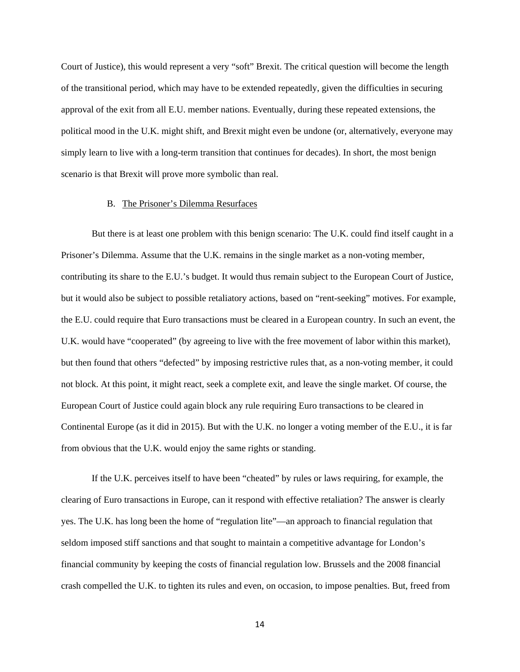Court of Justice), this would represent a very "soft" Brexit. The critical question will become the length of the transitional period, which may have to be extended repeatedly, given the difficulties in securing approval of the exit from all E.U. member nations. Eventually, during these repeated extensions, the political mood in the U.K. might shift, and Brexit might even be undone (or, alternatively, everyone may simply learn to live with a long-term transition that continues for decades). In short, the most benign scenario is that Brexit will prove more symbolic than real.

#### B. The Prisoner's Dilemma Resurfaces

But there is at least one problem with this benign scenario: The U.K. could find itself caught in a Prisoner's Dilemma. Assume that the U.K. remains in the single market as a non-voting member, contributing its share to the E.U.'s budget. It would thus remain subject to the European Court of Justice, but it would also be subject to possible retaliatory actions, based on "rent-seeking" motives. For example, the E.U. could require that Euro transactions must be cleared in a European country. In such an event, the U.K. would have "cooperated" (by agreeing to live with the free movement of labor within this market), but then found that others "defected" by imposing restrictive rules that, as a non-voting member, it could not block. At this point, it might react, seek a complete exit, and leave the single market. Of course, the European Court of Justice could again block any rule requiring Euro transactions to be cleared in Continental Europe (as it did in 2015). But with the U.K. no longer a voting member of the E.U., it is far from obvious that the U.K. would enjoy the same rights or standing.

If the U.K. perceives itself to have been "cheated" by rules or laws requiring, for example, the clearing of Euro transactions in Europe, can it respond with effective retaliation? The answer is clearly yes. The U.K. has long been the home of "regulation lite"—an approach to financial regulation that seldom imposed stiff sanctions and that sought to maintain a competitive advantage for London's financial community by keeping the costs of financial regulation low. Brussels and the 2008 financial crash compelled the U.K. to tighten its rules and even, on occasion, to impose penalties. But, freed from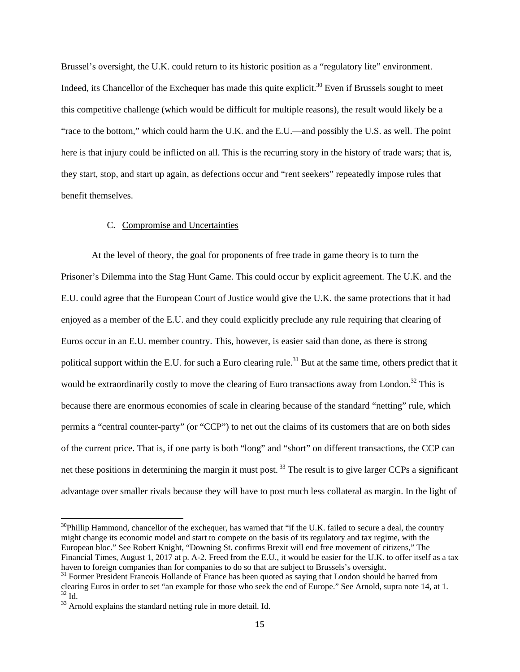Brussel's oversight, the U.K. could return to its historic position as a "regulatory lite" environment. Indeed, its Chancellor of the Exchequer has made this quite explicit.<sup>30</sup> Even if Brussels sought to meet this competitive challenge (which would be difficult for multiple reasons), the result would likely be a "race to the bottom," which could harm the U.K. and the E.U.—and possibly the U.S. as well. The point here is that injury could be inflicted on all. This is the recurring story in the history of trade wars; that is, they start, stop, and start up again, as defections occur and "rent seekers" repeatedly impose rules that benefit themselves.

## C. Compromise and Uncertainties

At the level of theory, the goal for proponents of free trade in game theory is to turn the Prisoner's Dilemma into the Stag Hunt Game. This could occur by explicit agreement. The U.K. and the E.U. could agree that the European Court of Justice would give the U.K. the same protections that it had enjoyed as a member of the E.U. and they could explicitly preclude any rule requiring that clearing of Euros occur in an E.U. member country. This, however, is easier said than done, as there is strong political support within the E.U. for such a Euro clearing rule.<sup>31</sup> But at the same time, others predict that it would be extraordinarily costly to move the clearing of Euro transactions away from London.<sup>32</sup> This is because there are enormous economies of scale in clearing because of the standard "netting" rule, which permits a "central counter-party" (or "CCP") to net out the claims of its customers that are on both sides of the current price. That is, if one party is both "long" and "short" on different transactions, the CCP can net these positions in determining the margin it must post.<sup>33</sup> The result is to give larger CCPs a significant advantage over smaller rivals because they will have to post much less collateral as margin. In the light of

 $30$ Phillip Hammond, chancellor of the exchequer, has warned that "if the U.K. failed to secure a deal, the country might change its economic model and start to compete on the basis of its regulatory and tax regime, with the European bloc." See Robert Knight, "Downing St. confirms Brexit will end free movement of citizens," The Financial Times, August 1, 2017 at p. A-2. Freed from the E.U., it would be easier for the U.K. to offer itself as a tax haven to foreign companies than for companies to do so that are subject to Brussels's oversight.<br><sup>31</sup> Former President Francois Hollande of France has been quoted as saying that London should be barred from

clearing Euros in order to set "an example for those who seek the end of Europe." See Arnold, supra note 14, at 1.  $^{32}$  Id.

<sup>&</sup>lt;sup>33</sup> Arnold explains the standard netting rule in more detail. Id.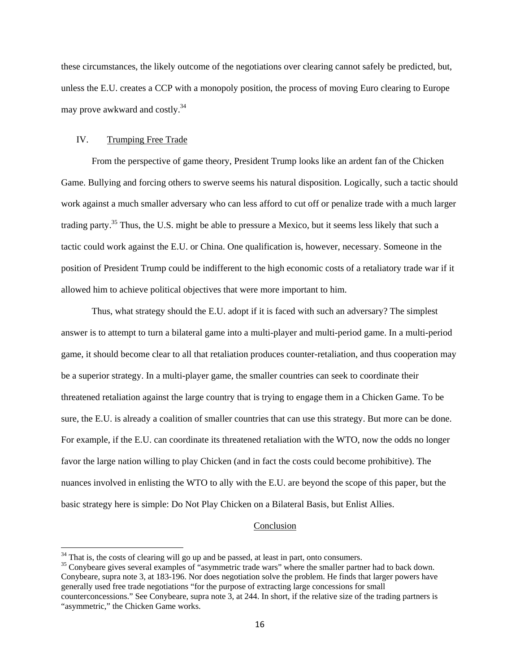these circumstances, the likely outcome of the negotiations over clearing cannot safely be predicted, but, unless the E.U. creates a CCP with a monopoly position, the process of moving Euro clearing to Europe may prove awkward and costly.<sup>34</sup>

## IV. Trumping Free Trade

From the perspective of game theory, President Trump looks like an ardent fan of the Chicken Game. Bullying and forcing others to swerve seems his natural disposition. Logically, such a tactic should work against a much smaller adversary who can less afford to cut off or penalize trade with a much larger trading party.35 Thus, the U.S. might be able to pressure a Mexico, but it seems less likely that such a tactic could work against the E.U. or China. One qualification is, however, necessary. Someone in the position of President Trump could be indifferent to the high economic costs of a retaliatory trade war if it allowed him to achieve political objectives that were more important to him.

Thus, what strategy should the E.U. adopt if it is faced with such an adversary? The simplest answer is to attempt to turn a bilateral game into a multi-player and multi-period game. In a multi-period game, it should become clear to all that retaliation produces counter-retaliation, and thus cooperation may be a superior strategy. In a multi-player game, the smaller countries can seek to coordinate their threatened retaliation against the large country that is trying to engage them in a Chicken Game. To be sure, the E.U. is already a coalition of smaller countries that can use this strategy. But more can be done. For example, if the E.U. can coordinate its threatened retaliation with the WTO, now the odds no longer favor the large nation willing to play Chicken (and in fact the costs could become prohibitive). The nuances involved in enlisting the WTO to ally with the E.U. are beyond the scope of this paper, but the basic strategy here is simple: Do Not Play Chicken on a Bilateral Basis, but Enlist Allies.

#### Conclusion

 $34$  That is, the costs of clearing will go up and be passed, at least in part, onto consumers.

<sup>&</sup>lt;sup>35</sup> Conybeare gives several examples of "asymmetric trade wars" where the smaller partner had to back down. Conybeare, supra note 3, at 183-196. Nor does negotiation solve the problem. He finds that larger powers have generally used free trade negotiations "for the purpose of extracting large concessions for small counterconcessions." See Conybeare, supra note 3, at 244. In short, if the relative size of the trading partners is "asymmetric," the Chicken Game works.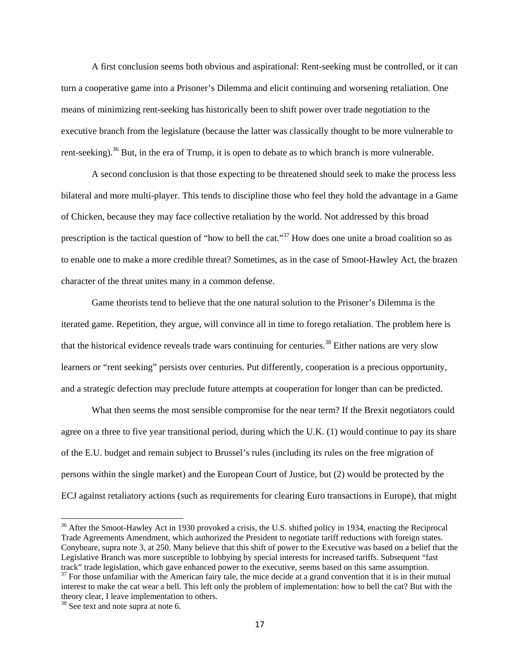A first conclusion seems both obvious and aspirational: Rent-seeking must be controlled, or it can turn a cooperative game into a Prisoner's Dilemma and elicit continuing and worsening retaliation. One means of minimizing rent-seeking has historically been to shift power over trade negotiation to the executive branch from the legislature (because the latter was classically thought to be more vulnerable to rent-seeking).<sup>36</sup> But, in the era of Trump, it is open to debate as to which branch is more vulnerable.

A second conclusion is that those expecting to be threatened should seek to make the process less bilateral and more multi-player. This tends to discipline those who feel they hold the advantage in a Game of Chicken, because they may face collective retaliation by the world. Not addressed by this broad prescription is the tactical question of "how to bell the cat."<sup>37</sup> How does one unite a broad coalition so as to enable one to make a more credible threat? Sometimes, as in the case of Smoot-Hawley Act, the brazen character of the threat unites many in a common defense.

Game theorists tend to believe that the one natural solution to the Prisoner's Dilemma is the iterated game. Repetition, they argue, will convince all in time to forego retaliation. The problem here is that the historical evidence reveals trade wars continuing for centuries.<sup>38</sup> Either nations are very slow learners or "rent seeking" persists over centuries. Put differently, cooperation is a precious opportunity, and a strategic defection may preclude future attempts at cooperation for longer than can be predicted.

What then seems the most sensible compromise for the near term? If the Brexit negotiators could agree on a three to five year transitional period, during which the U.K. (1) would continue to pay its share of the E.U. budget and remain subject to Brussel's rules (including its rules on the free migration of persons within the single market) and the European Court of Justice, but (2) would be protected by the ECJ against retaliatory actions (such as requirements for clearing Euro transactions in Europe), that might

<sup>&</sup>lt;sup>36</sup> After the Smoot-Hawley Act in 1930 provoked a crisis, the U.S. shifted policy in 1934, enacting the Reciprocal Trade Agreements Amendment, which authorized the President to negotiate tariff reductions with foreign states. Conybeare, supra note 3, at 250. Many believe that this shift of power to the Executive was based on a belief that the Legislative Branch was more susceptible to lobbying by special interests for increased tariffs. Subsequent "fast track" trade legislation, which gave enhanced power to the executive, seems based on this same assumption.

 $37$  For those unfamiliar with the American fairy tale, the mice decide at a grand convention that it is in their mutual interest to make the cat wear a bell. This left only the problem of implementation: how to bell the cat? But with the theory clear, I leave implementation to others.

<sup>&</sup>lt;sup>38</sup> See text and note supra at note 6.